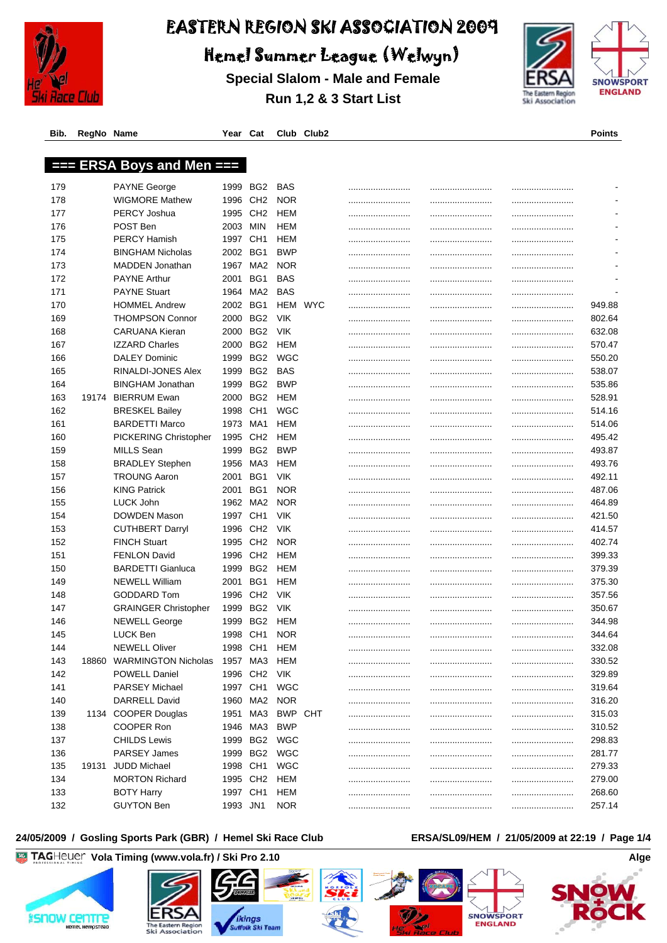

Hemel Summer League (Welwyn)

**Special Slalom - Male and Female Run 1,2 & 3 Start List**



**Bib. RegNo Name Year Cat Club Club2 Points**

# **=== ERSA Boys and Men ===**

| 179 |       | <b>PAYNE George</b>          | 1999     | BG2             | BAS        |         |      |            |
|-----|-------|------------------------------|----------|-----------------|------------|---------|------|------------|
| 178 |       | <b>WIGMORE Mathew</b>        | 1996     | CH <sub>2</sub> | <b>NOR</b> |         | <br> |            |
| 177 |       | <b>PERCY Joshua</b>          | 1995     | CH <sub>2</sub> | HEM        |         |      |            |
| 176 |       | POST Ben                     | 2003     | MIN             | HEM        |         |      |            |
| 175 |       | <b>PERCY Hamish</b>          | 1997     | CH <sub>1</sub> | HEM        |         |      |            |
| 174 |       | <b>BINGHAM Nicholas</b>      | 2002     | BG1             | <b>BWP</b> |         |      |            |
| 173 |       | MADDEN Jonathan              | 1967     | MA2             | <b>NOR</b> |         | <br> |            |
| 172 |       | <b>PAYNE Arthur</b>          | 2001     | BG1             | BAS        |         | <br> |            |
| 171 |       | <b>PAYNE Stuart</b>          | 1964     | MA2             | <b>BAS</b> |         | <br> |            |
| 170 |       | <b>HOMMEL Andrew</b>         | 2002     | BG1             |            | HEM WYC | <br> | 949.88     |
| 169 |       | <b>THOMPSON Connor</b>       | 2000     | BG <sub>2</sub> | <b>VIK</b> |         | <br> | <br>802.64 |
| 168 |       | <b>CARUANA Kieran</b>        | 2000     | BG <sub>2</sub> | <b>VIK</b> |         |      | <br>632.08 |
| 167 |       | <b>IZZARD Charles</b>        | 2000     | BG2             | HEM        |         | <br> | <br>570.47 |
| 166 |       | <b>DALEY Dominic</b>         | 1999     | BG2             | <b>WGC</b> |         | <br> | <br>550.20 |
| 165 |       | RINALDI-JONES Alex           | 1999     | BG2             | BAS        |         | <br> | <br>538.07 |
| 164 |       | <b>BINGHAM Jonathan</b>      | 1999     | BG <sub>2</sub> | <b>BWP</b> |         | <br> | 535.86     |
| 163 | 19174 | <b>BIERRUM Ewan</b>          | 2000     | BG2             | HEM        |         | <br> | 528.91     |
| 162 |       | <b>BRESKEL Bailey</b>        | 1998     | CH <sub>1</sub> | WGC        |         | <br> | <br>514.16 |
| 161 |       | <b>BARDETTI Marco</b>        | 1973     | MA1             | HEM        |         | <br> | 514.06     |
| 160 |       | <b>PICKERING Christopher</b> | 1995     | CH <sub>2</sub> | HEM        |         | <br> | 495.42     |
| 159 |       | MILLS Sean                   | 1999     | BG <sub>2</sub> | <b>BWP</b> |         | <br> | 493.87     |
| 158 |       | <b>BRADLEY Stephen</b>       | 1956     | MA3             | HEM        |         | <br> | 493.76     |
| 157 |       | <b>TROUNG Aaron</b>          | 2001     | BG1             | VIK        |         | <br> | 492.11     |
| 156 |       | <b>KING Patrick</b>          | 2001     | BG1             | <b>NOR</b> |         | <br> | <br>487.06 |
| 155 |       | LUCK John                    |          | 1962 MA2        | <b>NOR</b> |         |      | <br>464.89 |
| 154 |       | DOWDEN Mason                 | 1997     | CH <sub>1</sub> | <b>VIK</b> |         | <br> | <br>421.50 |
| 153 |       | <b>CUTHBERT Darryl</b>       | 1996     | CH <sub>2</sub> | <b>VIK</b> |         |      | <br>414.57 |
| 152 |       | <b>FINCH Stuart</b>          | 1995     | CH <sub>2</sub> | <b>NOR</b> |         |      | <br>402.74 |
| 151 |       | <b>FENLON David</b>          | 1996     | CH <sub>2</sub> | HEM        |         |      | <br>399.33 |
| 150 |       | <b>BARDETTI Gianluca</b>     | 1999     | BG <sub>2</sub> | HEM        |         |      | <br>379.39 |
| 149 |       | <b>NEWELL William</b>        | 2001     | BG1             | HEM        |         |      | <br>375.30 |
| 148 |       | GODDARD Tom                  | 1996     | CH <sub>2</sub> | <b>VIK</b> |         | <br> | <br>357.56 |
| 147 |       | <b>GRAINGER Christopher</b>  | 1999     | BG2             | <b>VIK</b> |         | <br> | <br>350.67 |
| 146 |       | <b>NEWELL George</b>         | 1999     | BG2             | HEM        |         | <br> | <br>344.98 |
| 145 |       | <b>LUCK Ben</b>              | 1998     | CH <sub>1</sub> | <b>NOR</b> |         | <br> | 344.64     |
| 144 |       | <b>NEWELL Oliver</b>         | 1998     | CH <sub>1</sub> | HEM        |         | <br> | <br>332.08 |
| 143 | 18860 | <b>WARMINGTON Nicholas</b>   | 1957     | MA3             | HEM        |         | <br> | 330.52     |
| 142 |       | <b>POWELL Daniel</b>         |          | 1996 CH2        | VIK        |         |      | <br>329.89 |
| 141 |       | <b>PARSEY Michael</b>        | 1997 CH1 |                 | WGC        |         |      | 319.64     |
| 140 |       | DARRELL David                |          | 1960 MA2        | <b>NOR</b> |         | <br> | <br>316.20 |
| 139 |       | 1134 COOPER Douglas          |          | 1951 MA3        | BWP CHT    |         | <br> | <br>315.03 |
| 138 |       | COOPER Ron                   |          | 1946 MA3        | <b>BWP</b> |         | <br> | <br>310.52 |
| 137 |       | <b>CHILDS Lewis</b>          |          | 1999 BG2        | WGC        |         | <br> | <br>298.83 |
| 136 |       | PARSEY James                 | 1999     | BG2             | WGC        |         | <br> | <br>281.77 |
| 135 | 19131 | <b>JUDD Michael</b>          | 1998 CH1 |                 | <b>WGC</b> |         | <br> | <br>279.33 |
| 134 |       | <b>MORTON Richard</b>        | 1995 CH2 |                 | <b>HEM</b> |         | <br> | <br>279.00 |
| 133 |       | <b>BOTY Harry</b>            | 1997 CH1 |                 | <b>HEM</b> |         | <br> | 268.60     |
| 132 |       | <b>GUYTON Ben</b>            | 1993 JN1 |                 | <b>NOR</b> |         |      | 257.14     |

#### **24/05/2009 / Gosling Sports Park (GBR) / Hemel Ski Race Club ERSA/SL09/HEM / 21/05/2009 at 22:19 / Page 1/4**

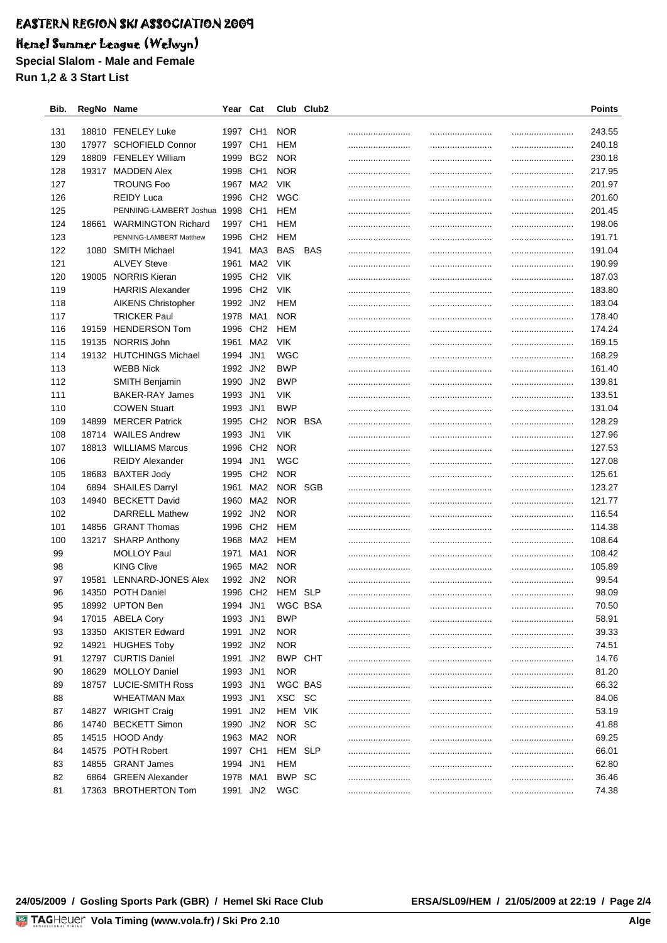## Hemel Summer League (Welwyn)

**Special Slalom - Male and Female**

**Run 1,2 & 3 Start List**

| Bib.       | RegNo Name |                                                    | Year Cat             |                 |                   | Club Club2 |          | <b>Points</b>        |
|------------|------------|----------------------------------------------------|----------------------|-----------------|-------------------|------------|----------|----------------------|
|            |            |                                                    |                      |                 |                   |            |          |                      |
| 131<br>130 |            | 18810 FENELEY Luke<br>17977 SCHOFIELD Connor       | 1997 CH1<br>1997 CH1 |                 | <b>NOR</b><br>HEM |            |          | <br>243.55<br>240.18 |
| 129        | 18809      | <b>FENELEY William</b>                             | 1999                 | BG2             | <b>NOR</b>        |            | <br>     | <br>230.18           |
|            |            | <b>MADDEN Alex</b>                                 | 1998                 | CH <sub>1</sub> | <b>NOR</b>        |            |          |                      |
| 128<br>127 | 19317      |                                                    |                      | MA2             | <b>VIK</b>        |            |          | 217.95               |
| 126        |            | <b>TROUNG Foo</b><br><b>REIDY Luca</b>             | 1967<br>1996         | CH <sub>2</sub> | WGC               |            | <br>     | <br>201.97<br>201.60 |
|            |            |                                                    |                      | CH <sub>1</sub> |                   |            |          |                      |
| 125<br>124 |            | PENNING-LAMBERT Joshua<br>18661 WARMINGTON Richard | 1998<br>1997         | CH <sub>1</sub> | HEM<br>HEM        |            | <br>     | 201.45<br>198.06     |
| 123        |            | PENNING-LAMBERT Matthew                            | 1996                 | CH <sub>2</sub> | HEM               |            | <br>     |                      |
| 122        |            | 1080 SMITH Michael                                 | 1941                 | MA3             | BAS               | <b>BAS</b> |          | 191.71               |
| 121        |            | <b>ALVEY Steve</b>                                 | 1961                 | MA2             | <b>VIK</b>        |            | <br>     | <br>191.04<br>190.99 |
| 120        |            | 19005 NORRIS Kieran                                | 1995                 | CH <sub>2</sub> | <b>VIK</b>        |            | <br>     |                      |
| 119        |            | <b>HARRIS Alexander</b>                            | 1996                 | CH <sub>2</sub> | <b>VIK</b>        |            |          | <br>187.03<br>183.80 |
| 118        |            | <b>AIKENS Christopher</b>                          | 1992                 | JN2             | HEM               |            |          | <br>183.04           |
| 117        |            | <b>TRICKER Paul</b>                                | 1978                 | MA1             | <b>NOR</b>        |            | <br>     | <br>178.40           |
| 116        | 19159      | <b>HENDERSON Tom</b>                               | 1996                 | CH <sub>2</sub> | HEM               |            | <br>     | <br>174.24           |
| 115        |            | 19135 NORRIS John                                  | 1961                 | MA2             | <b>VIK</b>        |            | <br>     | <br>169.15           |
| 114        |            | 19132 HUTCHINGS Michael                            | 1994                 | JN1             | WGC               |            | <br>     | <br>168.29           |
| 113        |            | <b>WEBB Nick</b>                                   | 1992 JN2             |                 | <b>BWP</b>        |            | <br>     | <br>161.40           |
| 112        |            | SMITH Benjamin                                     | 1990                 | JN <sub>2</sub> | <b>BWP</b>        |            |          | <br>139.81           |
| 111        |            | <b>BAKER-RAY James</b>                             | 1993                 | JN1             | <b>VIK</b>        |            |          | <br>133.51           |
| 110        |            | <b>COWEN Stuart</b>                                | 1993                 | JN1             | <b>BWP</b>        |            | <br><br> | <br><br>131.04       |
| 109        | 14899      | <b>MERCER Patrick</b>                              | 1995                 | CH <sub>2</sub> | NOR BSA           |            |          | 128.29               |
| 108        |            | 18714 WAILES Andrew                                | 1993                 | JN1             | <b>VIK</b>        |            | <br>     | <br><br>127.96       |
| 107        |            | 18813 WILLIAMS Marcus                              | 1996                 | CH <sub>2</sub> | <b>NOR</b>        |            | <br><br> | <br>127.53           |
| 106        |            | REIDY Alexander                                    | 1994                 | JN1             | WGC               |            |          | 127.08               |
| 105        |            | 18683 BAXTER Jody                                  | 1995                 | CH <sub>2</sub> | <b>NOR</b>        |            | <br><br> | <br><br>125.61       |
| 104        | 6894       | <b>SHAILES Darryl</b>                              | 1961                 | MA2             | NOR SGB           |            |          | <br>123.27           |
| 103        |            | 14940 BECKETT David                                | 1960                 | MA2             | <b>NOR</b>        |            | <br><br> | <br>121.77           |
| 102        |            | DARRELL Mathew                                     | 1992                 | JN2             | <b>NOR</b>        |            | <br>     | <br>116.54           |
| 101        |            | 14856 GRANT Thomas                                 | 1996                 | CH <sub>2</sub> | HEM               |            | <br>     | <br>114.38           |
| 100        |            | 13217 SHARP Anthony                                | 1968                 | MA <sub>2</sub> | HEM               |            |          | <br>108.64           |
| 99         |            | <b>MOLLOY Paul</b>                                 | 1971                 | MA1             | <b>NOR</b>        |            | <br>     | <br>108.42           |
| 98         |            | <b>KING Clive</b>                                  | 1965                 | MA2             | <b>NOR</b>        |            |          | <br>105.89           |
| 97         |            | 19581 LENNARD-JONES Alex                           | 1992 JN2             |                 | <b>NOR</b>        |            | <br>     | <br>99.54            |
| 96         |            | 14350 POTH Daniel                                  |                      |                 | 1996 CH2 HEM SLP  |            | <br>     | <br>98.09            |
| 95         |            | 18992 UPTON Ben                                    |                      | 1994 JN1        | WGC BSA           |            |          | <br>70.50            |
| 94         |            | 17015 ABELA Cory                                   | 1993 JN1             |                 | <b>BWP</b>        |            | <br>     | <br>58.91            |
| 93         |            | 13350 AKISTER Edward                               | 1991 JN2             |                 | <b>NOR</b>        |            | <br>     | <br>39.33            |
| 92         |            | 14921 HUGHES Toby                                  | 1992 JN2             |                 | <b>NOR</b>        |            |          | <br>74.51            |
| 91         |            | 12797 CURTIS Daniel                                | 1991 JN2             |                 | BWP CHT           |            | <br>     | <br>14.76            |
| 90         |            | 18629 MOLLOY Daniel                                | 1993 JN1             |                 | <b>NOR</b>        |            | <br>     | <br>81.20            |
| 89         |            | 18757 LUCIE-SMITH Ross                             | 1993 JN1             |                 | WGC BAS           |            | <br>     | <br>66.32            |
| 88         |            | <b>WHEATMAN Max</b>                                | 1993 JN1             |                 | XSC SC            |            | <br>     | <br>84.06            |
| 87         |            | 14827 WRIGHT Craig                                 | 1991 JN2             |                 | HEM VIK           |            | <br>     | <br>53.19            |
| 86         |            | 14740 BECKETT Simon                                | 1990                 | JN2             | NOR SC            |            | <br>     | <br>41.88            |
| 85         |            | 14515 HOOD Andy                                    | 1963 MA2             |                 | <b>NOR</b>        |            | <br>     | <br>69.25            |
| 84         |            | 14575 POTH Robert                                  | 1997 CH1             |                 | HEM SLP           |            | <br>     | <br>66.01            |
| 83         |            | 14855 GRANT James                                  | 1994 JN1             |                 | HEM               |            | <br>     | <br>62.80            |
| 82         |            | 6864 GREEN Alexander                               | 1978 MA1             |                 | BWP SC            |            |          | <br>36.46            |
| 81         |            | 17363 BROTHERTON Tom                               | 1991 JN2             |                 | WGC               |            |          | <br>74.38            |
|            |            |                                                    |                      |                 |                   |            |          |                      |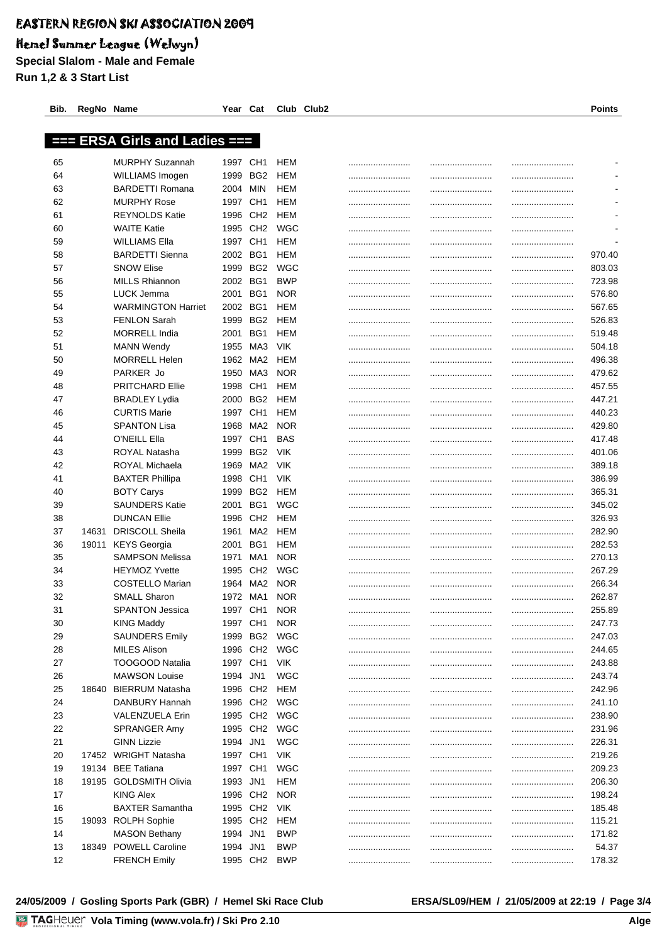## Hemel Summer League (Welwyn)

**Special Slalom - Male and Female Run 1,2 & 3 Start List**

|    |       | === ERSA Girls and Ladies === |          |                 |            |  |      |        |
|----|-------|-------------------------------|----------|-----------------|------------|--|------|--------|
| 65 |       | <b>MURPHY Suzannah</b>        | 1997     | CH <sub>1</sub> | HEM        |  | <br> |        |
| 64 |       | WILLIAMS Imogen               | 1999     | BG <sub>2</sub> | HEM        |  |      |        |
| 63 |       | <b>BARDETTI Romana</b>        | 2004     | MIN             | HEM        |  |      |        |
| 62 |       | <b>MURPHY Rose</b>            | 1997     | CH <sub>1</sub> | HEM        |  | <br> |        |
| 61 |       | <b>REYNOLDS Katie</b>         | 1996     | CH <sub>2</sub> | HEM        |  | <br> |        |
| 60 |       | <b>WAITE Katie</b>            | 1995     | CH <sub>2</sub> | WGC        |  |      |        |
| 59 |       | <b>WILLIAMS Ella</b>          | 1997     | CH <sub>1</sub> | HEM        |  |      |        |
| 58 |       | <b>BARDETTI Sienna</b>        | 2002     | BG <sub>1</sub> | HEM        |  |      | 970.40 |
| 57 |       | <b>SNOW Elise</b>             | 1999     | BG <sub>2</sub> | WGC        |  | <br> | 803.03 |
| 56 |       | <b>MILLS Rhiannon</b>         | 2002     | BG <sub>1</sub> | <b>BWP</b> |  | <br> | 723.98 |
| 55 |       | LUCK Jemma                    | 2001     | BG1             | <b>NOR</b> |  |      | 576.80 |
| 54 |       | <b>WARMINGTON Harriet</b>     | 2002     | BG1             | HEM        |  |      | 567.65 |
| 53 |       | <b>FENLON Sarah</b>           | 1999     | BG <sub>2</sub> | HEM        |  | <br> | 526.83 |
| 52 |       | <b>MORRELL India</b>          | 2001     | BG1             | HEM        |  |      | 519.48 |
| 51 |       | <b>MANN Wendy</b>             | 1955     | MA3             | VIK        |  |      | 504.18 |
| 50 |       | <b>MORRELL Helen</b>          | 1962     | MA <sub>2</sub> | HEM        |  | <br> | 496.38 |
| 49 |       | PARKER Jo                     | 1950     | MA3             | <b>NOR</b> |  | <br> | 479.62 |
| 48 |       | <b>PRITCHARD Ellie</b>        | 1998     | CH <sub>1</sub> | HEM        |  | <br> | 457.55 |
| 47 |       | <b>BRADLEY Lydia</b>          | 2000     | BG <sub>2</sub> | HEM        |  |      | 447.21 |
| 46 |       | <b>CURTIS Marie</b>           | 1997     | CH <sub>1</sub> | HEM        |  |      | 440.23 |
| 45 |       | <b>SPANTON Lisa</b>           | 1968     | MA <sub>2</sub> | <b>NOR</b> |  |      | 429.80 |
| 44 |       | O'NEILL Ella                  | 1997     | CH <sub>1</sub> | <b>BAS</b> |  | <br> | 417.48 |
| 43 |       | ROYAL Natasha                 | 1999     | BG <sub>2</sub> | VIK        |  | <br> | 401.06 |
| 42 |       | ROYAL Michaela                | 1969     | MA2             | VIK        |  | <br> | 389.18 |
| 41 |       | <b>BAXTER Phillipa</b>        | 1998     | CH <sub>1</sub> | VIK        |  |      | 386.99 |
| 40 |       | <b>BOTY Carys</b>             | 1999     | BG2             | HEM        |  |      | 365.31 |
| 39 |       | <b>SAUNDERS Katie</b>         | 2001     | BG1             | WGC        |  |      | 345.02 |
| 38 |       | <b>DUNCAN Ellie</b>           | 1996     | CH <sub>2</sub> | HEM        |  |      | 326.93 |
| 37 | 14631 | <b>DRISCOLL Sheila</b>        | 1961     | MA2             | HEM        |  |      | 282.90 |
| 36 | 19011 | KEYS Georgia                  | 2001     | BG1             | HEM        |  |      | 282.53 |
| 35 |       | <b>SAMPSON Melissa</b>        | 1971     | MA1             | <b>NOR</b> |  | <br> | 270.13 |
| 34 |       | <b>HEYMOZ Yvette</b>          | 1995     | CH <sub>2</sub> | <b>WGC</b> |  |      | 267.29 |
| 33 |       | <b>COSTELLO Marian</b>        | 1964     | MA2             | <b>NOR</b> |  | <br> | 266.34 |
| 32 |       | <b>SMALL Sharon</b>           | 1972     | MA1             | <b>NOR</b> |  |      | 262.87 |
| 31 |       | <b>SPANTON Jessica</b>        | 1997     | CH <sub>1</sub> | <b>NOR</b> |  | <br> | 255.89 |
| 30 |       | <b>KING Maddy</b>             | 1997     | CH <sub>1</sub> | <b>NOR</b> |  |      | 247.73 |
| 29 |       | <b>SAUNDERS Emily</b>         | 1999     | BG <sub>2</sub> | <b>WGC</b> |  | <br> | 247.03 |
| 28 |       | MILES Alison                  | 1996 CH2 |                 | <b>WGC</b> |  | <br> | 244.65 |
| 27 |       | <b>TOOGOOD Natalia</b>        | 1997 CH1 |                 | <b>VIK</b> |  |      | 243.88 |
| 26 |       | <b>MAWSON Louise</b>          | 1994     | JN <sub>1</sub> | <b>WGC</b> |  |      | 243.74 |
| 25 | 18640 | BIERRUM Natasha               | 1996     | CH <sub>2</sub> | <b>HEM</b> |  | <br> | 242.96 |
| 24 |       | DANBURY Hannah                | 1996     | CH <sub>2</sub> | <b>WGC</b> |  | <br> | 241.10 |
| 23 |       | <b>VALENZUELA Erin</b>        | 1995 CH2 |                 | <b>WGC</b> |  |      | 238.90 |
| 22 |       | SPRANGER Amy                  | 1995 CH2 |                 | <b>WGC</b> |  | <br> | 231.96 |
| 21 |       | <b>GINN Lizzie</b>            | 1994     | JN <sub>1</sub> | <b>WGC</b> |  | <br> | 226.31 |
| 20 |       | 17452 WRIGHT Natasha          | 1997 CH1 |                 | <b>VIK</b> |  |      | 219.26 |
| 19 |       | 19134 BEE Tatiana             | 1997     | CH <sub>1</sub> | <b>WGC</b> |  | <br> | 209.23 |
| 18 |       | 19195 GOLDSMITH Olivia        | 1993     | JN1             | <b>HEM</b> |  | <br> | 206.30 |
| 17 |       | <b>KING Alex</b>              | 1996 CH2 |                 | <b>NOR</b> |  | <br> | 198.24 |
| 16 |       | <b>BAXTER Samantha</b>        | 1995 CH2 |                 | <b>VIK</b> |  | <br> | 185.48 |
| 15 |       | 19093 ROLPH Sophie            | 1995 CH2 |                 | HEM        |  |      | 115.21 |
| 14 |       | <b>MASON Bethany</b>          | 1994 JN1 |                 | <b>BWP</b> |  | <br> | 171.82 |
| 13 |       | 18349 POWELL Caroline         | 1994 JN1 |                 | <b>BWP</b> |  | <br> | 54.37  |
| 12 |       | <b>FRENCH Emily</b>           | 1995 CH2 |                 | <b>BWP</b> |  | <br> | 178.32 |

**Bib. RegNo Name Year Cat Club Club2 Points**

#### **24/05/2009 / Gosling Sports Park (GBR) / Hemel Ski Race Club ERSA/SL09/HEM / 21/05/2009 at 22:19 / Page 3/4**

<u>Volanda va Ser</u>